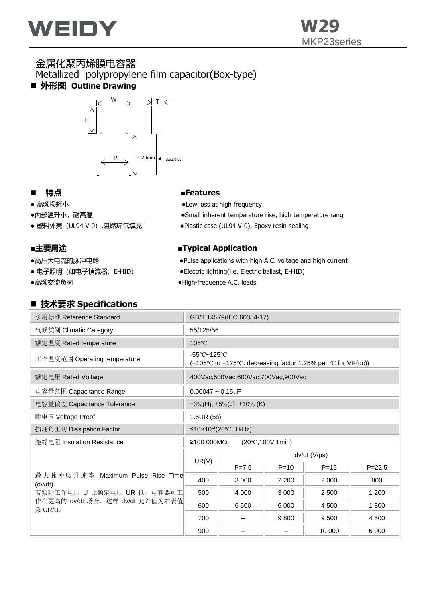

# 金属化聚丙烯膜电容器 Metallized polypropylene film capacitor(Box-type)

■ 外形图 Outline Drawing



- 
- 
- 

- 
- 
- 

### ■ 特点 **■Features**

- 高频损耗小 ●Low loss at high frequency
- ●内部温升小, 耐高温 external boost of Small inherent temperature rise, high temperature rang
- 塑料外壳 (UL94 V-0), 阻燃环氧填充 → ●Plastic case (UL94 V-0), Epoxy resin sealing

### ■主要用途 ■Typical Application

- ●高压大电流的脉冲电路 ●Pulse applications with high A.C. voltage and high current
- 电子照明 (如电子镇流器、E-HID) ●Electric lighting(i.e. Electric ballast, E-HID)
- ●高频交流负荷 **●** eHigh-frequence A.C. loads

| ■ 技术要求 Specifications                       |                                                                                                   |                       |          |          |            |  |  |  |  |  |
|---------------------------------------------|---------------------------------------------------------------------------------------------------|-----------------------|----------|----------|------------|--|--|--|--|--|
| 引用标准 Reference Standard                     | GB/T 14579(IEC 60384-17)                                                                          |                       |          |          |            |  |  |  |  |  |
| 气候类别 Climatic Category                      | 55/125/56                                                                                         |                       |          |          |            |  |  |  |  |  |
| 额定温度 Rated temperature                      | 105°C                                                                                             |                       |          |          |            |  |  |  |  |  |
| 工作温度范围 Operating temperature                | $-55^{\circ}$ C~125 $^{\circ}$ C<br>(+105°C to +125°C: decreasing factor 1.25% per °C for VR(dc)) |                       |          |          |            |  |  |  |  |  |
| 额定电压 Rated Voltage                          | 400Vac,500Vac,600Vac,700Vac,900Vac                                                                |                       |          |          |            |  |  |  |  |  |
| 电容量范围 Capacitance Range                     | $0.00047 \sim 0.15 \mu F$                                                                         |                       |          |          |            |  |  |  |  |  |
| 电容量偏差 Capacitance Tolerance                 | $\pm 3\%$ (H), $\pm 5\%$ (J), $\pm 10\%$ (K)                                                      |                       |          |          |            |  |  |  |  |  |
| 耐电压 Voltage Proof                           | 1.6UR(5s)                                                                                         |                       |          |          |            |  |  |  |  |  |
| 损耗角正切 Dissipation Factor                    | ≤10×10 <sup>-4</sup> (20 °C, 1kHz)                                                                |                       |          |          |            |  |  |  |  |  |
| 绝缘电阻 Insulation Resistance                  | ≥100 000MΩ,<br>$(20^{\circ}C, 100V, 1min)$                                                        |                       |          |          |            |  |  |  |  |  |
|                                             |                                                                                                   | $dv/dt$ (V/ $\mu s$ ) |          |          |            |  |  |  |  |  |
|                                             | UR(V)                                                                                             | $P = 7.5$             | $P = 10$ | $P = 15$ | $P = 22.5$ |  |  |  |  |  |
| 最大脉冲爬升速率 Maximum Pulse Rise Time<br>(dv/dt) | 400                                                                                               | 3 0 0 0               | 2 2 0 0  | 2 0 0 0  | 800        |  |  |  |  |  |
| 若实际工作电压 U 比额定电压 UR 低,电容器可工                  | 500                                                                                               | 4 0 0 0               | 3 0 0 0  | 2 500    | 1 200      |  |  |  |  |  |
| 作在更高的 dv/dt 场合。这样 dv/dt 允许值为右表值<br>乘 UR/U。  | 600                                                                                               | 6500                  | 6 0 0 0  | 4 500    | 1800       |  |  |  |  |  |
|                                             | 700                                                                                               |                       | 9800     | 9 500    | 4 500      |  |  |  |  |  |
|                                             | 900                                                                                               |                       |          | 10 000   | 6 0 0 0    |  |  |  |  |  |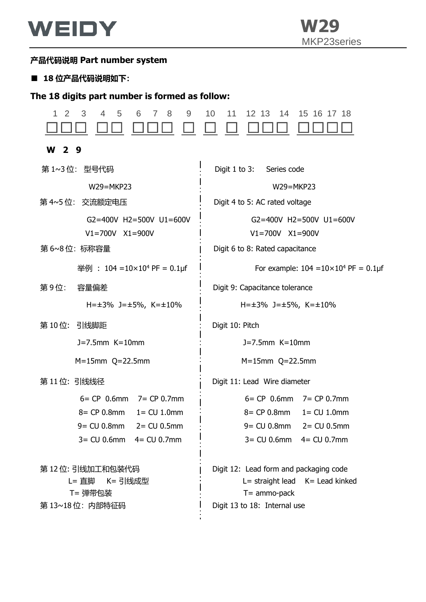

### **产品代码说明 Part number system**

#### ■ 18 位产品代码说明如下:

## **The 18 digits part number is formed as follow:**

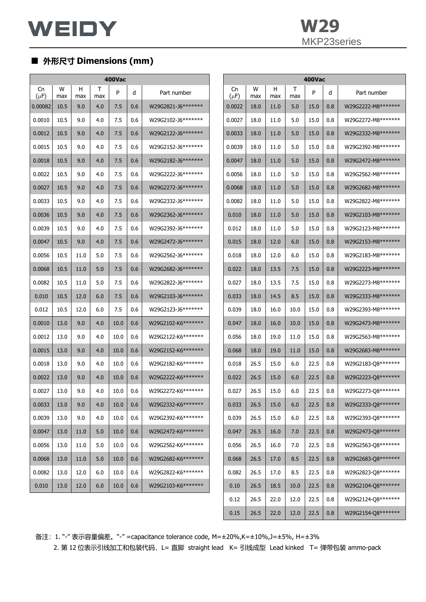## ■ **外形尺寸 Dimensions (mm)**

| <b>400Vac</b>   |          |          |          |      |     |                    | <b>400Vac</b>   |          |          |          |      |     |                    |
|-----------------|----------|----------|----------|------|-----|--------------------|-----------------|----------|----------|----------|------|-----|--------------------|
| Cn<br>$(\mu F)$ | W<br>max | н<br>max | Τ<br>max | P    | d   | Part number        | Cn<br>$(\mu F)$ | W<br>max | н<br>max | T<br>max | P    | d   | Part number        |
| 0.00082         | 10.5     | 9.0      | 4.0      | 7.5  | 0.6 | W29G2821-J6******* | 0.0022          | 18.0     | 11.0     | 5.0      | 15.0 | 0.8 | W29G2222-M8******* |
| 0.0010          | 10.5     | 9.0      | 4.0      | 7.5  | 0.6 | W29G2102-J6******* | 0.0027          | 18.0     | 11.0     | 5.0      | 15.0 | 0.8 | W29G2272-M8******* |
| 0.0012          | 10.5     | 9.0      | 4.0      | 7.5  | 0.6 | W29G2122-J6******* | 0.0033          | 18.0     | 11.0     | 5.0      | 15.0 | 0.8 | W29G2332-M8******* |
| 0.0015          | 10.5     | 9.0      | 4.0      | 7.5  | 0.6 | W29G2152-J6******* | 0.0039          | 18.0     | 11.0     | 5.0      | 15.0 | 0.8 | W29G2392-M8******* |
| 0.0018          | 10.5     | 9.0      | 4.0      | 7.5  | 0.6 | W29G2182-J6******* | 0.0047          | 18.0     | 11.0     | 5.0      | 15.0 | 0.8 | W29G2472-M8******* |
| 0.0022          | 10.5     | 9.0      | 4.0      | 7.5  | 0.6 | W29G2222-J6******* | 0.0056          | 18.0     | 11.0     | 5.0      | 15.0 | 0.8 | W29G2562-M8******* |
| 0.0027          | 10.5     | 9.0      | 4.0      | 7.5  | 0.6 | W29G2272-J6******* | 0.0068          | 18.0     | 11.0     | 5.0      | 15.0 | 0.8 | W29G2682-M8******* |
| 0.0033          | 10.5     | 9.0      | 4.0      | 7.5  | 0.6 | W29G2332-J6******* | 0.0082          | 18.0     | 11.0     | 5.0      | 15.0 | 0.8 | W29G2822-M8******* |
| 0.0036          | 10.5     | 9.0      | 4.0      | 7.5  | 0.6 | W29G2362-J6******* | 0.010           | 18.0     | 11.0     | 5.0      | 15.0 | 0.8 | W29G2103-M8******* |
| 0.0039          | 10.5     | 9.0      | 4.0      | 7.5  | 0.6 | W29G2392-J6******* | 0.012           | 18.0     | 11.0     | 5.0      | 15.0 | 0.8 | W29G2123-M8******* |
| 0.0047          | 10.5     | 9.0      | 4.0      | 7.5  | 0.6 | W29G2472-J6******* | 0.015           | 18.0     | 12.0     | 6.0      | 15.0 | 0.8 | W29G2153-M8******* |
| 0.0056          | 10.5     | 11.0     | 5.0      | 7.5  | 0.6 | W29G2562-J6******* | 0.018           | 18.0     | 12.0     | 6.0      | 15.0 | 0.8 | W29G2183-M8******* |
| 0.0068          | 10.5     | 11.0     | 5.0      | 7.5  | 0.6 | W29G2682-J6******* | 0.022           | 18.0     | 13.5     | 7.5      | 15.0 | 0.8 | W29G2223-M8******* |
| 0.0082          | 10.5     | 11.0     | 5.0      | 7.5  | 0.6 | W29G2822-J6******* | 0.027           | 18.0     | 13.5     | 7.5      | 15.0 | 0.8 | W29G2273-M8******* |
| 0.010           | 10.5     | 12.0     | 6.0      | 7.5  | 0.6 | W29G2103-J6******* | 0.033           | 18.0     | 14.5     | 8.5      | 15.0 | 0.8 | W29G2333-M8******* |
| 0.012           | 10.5     | 12.0     | 6.0      | 7.5  | 0.6 | W29G2123-J6******* | 0.039           | 18.0     | 16.0     | 10.0     | 15.0 | 0.8 | W29G2393-M8******* |
| 0.0010          | 13.0     | 9.0      | 4.0      | 10.0 | 0.6 | W29G2102-K6******* | 0.047           | 18.0     | 16.0     | 10.0     | 15.0 | 0.8 | W29G2473-M8******* |
| 0.0012          | 13.0     | 9.0      | 4.0      | 10.0 | 0.6 | W29G2122-K6******* | 0.056           | 18.0     | 19.0     | 11.0     | 15.0 | 0.8 | W29G2563-M8******* |
| 0.0015          | 13.0     | 9.0      | 4.0      | 10.0 | 0.6 | W29G2152-K6******* | 0.068           | 18.0     | 19.0     | 11.0     | 15.0 | 0.8 | W29G2683-M8******* |
| 0.0018          | 13.0     | 9.0      | 4.0      | 10.0 | 0.6 | W29G2182-K6******* | 0.018           | 26.5     | 15.0     | 6.0      | 22.5 | 0.8 | W29G2183-Q8******* |
| 0.0022          | 13.0     | 9.0      | 4.0      | 10.0 | 0.6 | W29G2222-K6******* | 0.022           | 26.5     | 15.0     | 6.0      | 22.5 | 0.8 | W29G2223-Q8******* |
| 0.0027          | 13.0     | 9.0      | 4.0      | 10.0 | 0.6 | W29G2272-K6******* | 0.027           | 26.5     | 15.0     | 6.0      | 22.5 | 0.8 | W29G2273-Q8******* |
| 0.0033          | 13.0     | 9.0      | 4.0      | 10.0 | 0.6 | W29G2332-K6******* | 0.033           | 26.5     | 15.0     | 6.0      | 22.5 | 0.8 | W29G2333-Q8******* |
| 0.0039          | 13.0     | 9.0      | 4.0      | 10.0 | 0.6 | W29G2392-K6******* | 0.039           | 26.5     | 15.0     | 6.0      | 22.5 | 0.8 | W29G2393-Q8******* |
| 0.0047          | 13.0     | 11.0     | 5.0      | 10.0 | 0.6 | W29G2472-K6******* | 0.047           | 26.5     | 16.0     | 7.0      | 22.5 | 0.8 | W29G2473-Q8******* |
| 0.0056          | 13.0     | 11.0     | 5.0      | 10.0 | 0.6 | W29G2562-K6******* | 0.056           | 26.5     | 16.0     | 7.0      | 22.5 | 0.8 | W29G2563-Q8******* |
| 0.0068          | 13.0     | 11.0     | 5.0      | 10.0 | 0.6 | W29G2682-K6******* | 0.068           | 26.5     | 17.0     | 8.5      | 22.5 | 0.8 | W29G2683-Q8******* |
| 0.0082          | 13.0     | 12.0     | 6.0      | 10.0 | 0.6 | W29G2822-K6******* | 0.082           | 26.5     | 17.0     | 8.5      | 22.5 | 0.8 | W29G2823-Q8******* |
| 0.010           | 13.0     | 12.0     | 6.0      | 10.0 | 0.6 | W29G2103-K6******* | 0.10            | 26.5     | 18.5     | 10.0     | 22.5 | 0.8 | W29G2104-Q8******* |
|                 |          |          |          |      |     |                    | 0.12            | 26.5     | 22.0     | 12.0     | 22.5 | 0.8 | W29G2124-Q8******* |

备注:1. "-" 表示容量偏差。"-" =capacitance tolerance code, M=±20%,K=±10%,J=±5%, H=±3%

2. 第 12 位表示引线加工和包装代码, L= 直脚 straight lead K= 引线成型 Lead kinked T= 弹带包装 ammo-pack

 $0.15$  26.5 22.0 12.0 22.5 0.8 W29G2154-Q8\*\*\*\*\*\*\*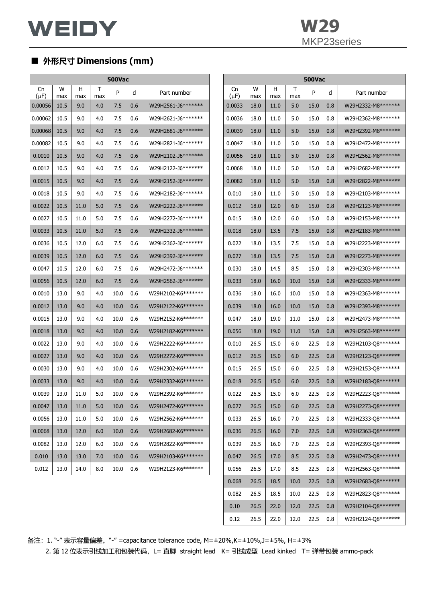$0.10$  26.5 22.0 12.0 22.5 0.8 W29H2104-Q8\*\*\*\*\*\*\*  $0.12$  26.5 22.0 12.0 22.5 0.8 W29H2124-Q8\*\*\*\*\*\*\*

## ■ **外形尺寸 Dimensions (mm)**

| <b>500Vac</b>   |          |          |          |      |     | <b>500Vac</b>       |                 |          |          |          |      |     |                    |
|-----------------|----------|----------|----------|------|-----|---------------------|-----------------|----------|----------|----------|------|-----|--------------------|
| Cn<br>$(\mu F)$ | W<br>max | H<br>max | Τ<br>max | P    | d   | Part number         | Cn<br>$(\mu F)$ | w<br>max | H<br>max | Τ<br>max | P    | d   | Part number        |
| 0.00056         | 10.5     | 9.0      | 4.0      | 7.5  | 0.6 | W29H2561-J6*******  | 0.0033          | 18.0     | 11.0     | 5.0      | 15.0 | 0.8 | W29H2332-M8******* |
| 0.00062         | 10.5     | 9.0      | 4.0      | 7.5  | 0.6 | W29H2621-J6*******  | 0.0036          | 18.0     | 11.0     | 5.0      | 15.0 | 0.8 | W29H2362-M8******* |
| 0.00068         | 10.5     | 9.0      | 4.0      | 7.5  | 0.6 | W29H2681-J6*******  | 0.0039          | 18.0     | 11.0     | 5.0      | 15.0 | 0.8 | W29H2392-M8******* |
| 0.00082         | 10.5     | 9.0      | 4.0      | 7.5  | 0.6 | W29H2821-J6*******  | 0.0047          | 18.0     | 11.0     | 5.0      | 15.0 | 0.8 | W29H2472-M8******* |
| 0.0010          | 10.5     | 9.0      | 4.0      | 7.5  | 0.6 | W29H2102-J6*******  | 0.0056          | 18.0     | 11.0     | 5.0      | 15.0 | 0.8 | W29H2562-M8******* |
| 0.0012          | 10.5     | 9.0      | 4.0      | 7.5  | 0.6 | W29H2122-J6*******  | 0.0068          | 18.0     | 11.0     | 5.0      | 15.0 | 0.8 | W29H2682-M8******* |
| 0.0015          | 10.5     | 9.0      | 4.0      | 7.5  | 0.6 | W29H2152-J6*******  | 0.0082          | 18.0     | 11.0     | 5.0      | 15.0 | 0.8 | W29H2822-M8******* |
| 0.0018          | 10.5     | 9.0      | 4.0      | 7.5  | 0.6 | W29H2182-J6*******  | 0.010           | 18.0     | 11.0     | 5.0      | 15.0 | 0.8 | W29H2103-M8******* |
| 0.0022          | 10.5     | 11.0     | 5.0      | 7.5  | 0.6 | W29H2222-J6*******  | 0.012           | 18.0     | 12.0     | 6.0      | 15.0 | 0.8 | W29H2123-M8******* |
| 0.0027          | 10.5     | 11.0     | 5.0      | 7.5  | 0.6 | W29H2272-J6*******  | 0.015           | 18.0     | 12.0     | 6.0      | 15.0 | 0.8 | W29H2153-M8******* |
| 0.0033          | 10.5     | 11.0     | 5.0      | 7.5  | 0.6 | W29H2332-J6*******  | 0.018           | 18.0     | 13.5     | 7.5      | 15.0 | 0.8 | W29H2183-M8******* |
| 0.0036          | 10.5     | 12.0     | 6.0      | 7.5  | 0.6 | W29H2362-J6*******  | 0.022           | 18.0     | 13.5     | 7.5      | 15.0 | 0.8 | W29H2223-M8******* |
| 0.0039          | 10.5     | 12.0     | 6.0      | 7.5  | 0.6 | W29H2392-J6*******  | 0.027           | 18.0     | 13.5     | 7.5      | 15.0 | 0.8 | W29H2273-M8******* |
| 0.0047          | 10.5     | 12.0     | 6.0      | 7.5  | 0.6 | W29H2472-J6*******  | 0.030           | 18.0     | 14.5     | 8.5      | 15.0 | 0.8 | W29H2303-M8******* |
| 0.0056          | 10.5     | 12.0     | 6.0      | 7.5  | 0.6 | W29H2562-J6******** | 0.033           | 18.0     | 16.0     | 10.0     | 15.0 | 0.8 | W29H2333-M8******* |
| 0.0010          | 13.0     | 9.0      | 4.0      | 10.0 | 0.6 | W29H2102-K6*******  | 0.036           | 18.0     | 16.0     | 10.0     | 15.0 | 0.8 | W29H2363-M8******* |
| 0.0012          | 13.0     | 9.0      | 4.0      | 10.0 | 0.6 | W29H2122-K6*******  | 0.039           | 18.0     | 16.0     | 10.0     | 15.0 | 0.8 | W29H2393-M8******* |
| 0.0015          | 13.0     | 9.0      | 4.0      | 10.0 | 0.6 | W29H2152-K6*******  | 0.047           | 18.0     | 19.0     | 11.0     | 15.0 | 0.8 | W29H2473-M8******* |
| 0.0018          | 13.0     | 9.0      | 4.0      | 10.0 | 0.6 | W29H2182-K6*******  | 0.056           | 18.0     | 19.0     | 11.0     | 15.0 | 0.8 | W29H2563-M8******* |
| 0.0022          | 13.0     | 9.0      | 4.0      | 10.0 | 0.6 | W29H2222-K6*******  | 0.010           | 26.5     | 15.0     | 6.0      | 22.5 | 0.8 | W29H2103-Q8******* |
| 0.0027          | 13.0     | 9.0      | 4.0      | 10.0 | 0.6 | W29H2272-K6*******  | 0.012           | 26.5     | 15.0     | 6.0      | 22.5 | 0.8 | W29H2123-Q8******* |
| 0.0030          | 13.0     | 9.0      | 4.0      | 10.0 | 0.6 | W29H2302-K6*******  | 0.015           | 26.5     | 15.0     | 6.0      | 22.5 | 0.8 | W29H2153-Q8******* |
| 0.0033          | 13.0     | 9.0      | 4.0      | 10.0 | 0.6 | W29H2332-K6*******  | 0.018           | 26.5     | 15.0     | 6.0      | 22.5 | 0.8 | W29H2183-Q8******* |
| 0.0039          | 13.0     | 11.0     | 5.0      | 10.0 | 0.6 | W29H2392-K6*******  | 0.022           | 26.5     | 15.0     | 6.0      | 22.5 | 0.8 | W29H2223-Q8******* |
| 0.0047          | 13.0     | 11.0     | 5.0      | 10.0 | 0.6 | W29H2472-K6*******  | 0.027           | 26.5     | 15.0     | 6.0      | 22.5 | 0.8 | W29H2273-Q8******* |
| 0.0056          | 13.0     | 11.0     | 5.0      | 10.0 | 0.6 | W29H2562-K6*******  | 0.033           | 26.5     | 16.0     | 7.0      | 22.5 | 0.8 | W29H2333-Q8******* |
| 0.0068          | 13.0     | 12.0     | 6.0      | 10.0 | 0.6 | W29H2682-K6*******  | 0.036           | 26.5     | 16.0     | 7.0      | 22.5 | 0.8 | W29H2363-Q8******* |
| 0.0082          | 13.0     | 12.0     | 6.0      | 10.0 | 0.6 | W29H2822-K6*******  | 0.039           | 26.5     | 16.0     | 7.0      | 22.5 | 0.8 | W29H2393-Q8******* |
| 0.010           | 13.0     | 13.0     | 7.0      | 10.0 | 0.6 | W29H2103-K6*******  | 0.047           | 26.5     | 17.0     | 8.5      | 22.5 | 0.8 | W29H2473-Q8******* |
| 0.012           | 13.0     | 14.0     | 8.0      | 10.0 | 0.6 | W29H2123-K6*******  | 0.056           | 26.5     | 17.0     | 8.5      | 22.5 | 0.8 | W29H2563-Q8******* |
|                 |          |          |          |      |     |                     | 0.068           | 26.5     | 18.5     | 10.0     | 22.5 | 0.8 | W29H2683-Q8******* |
|                 |          |          |          |      |     |                     | 0.082           | 26.5     | 18.5     | 10.0     | 22.5 | 0.8 | W29H2823-Q8******* |

备注:1. "-" 表示容量偏差。"-" =capacitance tolerance code, M=±20%,K=±10%,J=±5%, H=±3%

2. 第 12 位表示引线加工和包装代码, L= 直脚 straight lead K= 引线成型 Lead kinked T= 弹带包装 ammo-pack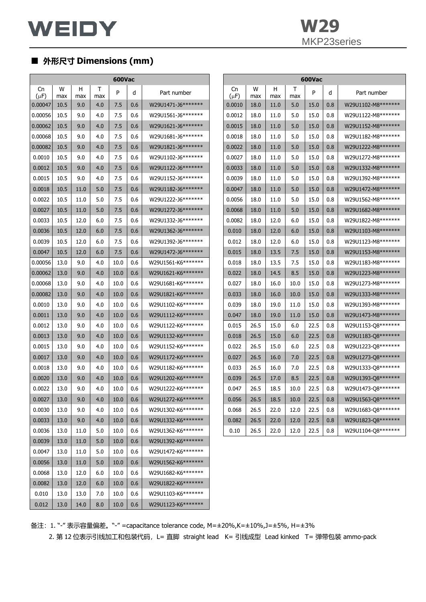## ■ **外形尺寸 Dimensions (mm)**

|                      | 600Vac      |            |            |      |     |                     | <b>600Vac</b>       |             |             |            |      |     |                     |  |
|----------------------|-------------|------------|------------|------|-----|---------------------|---------------------|-------------|-------------|------------|------|-----|---------------------|--|
| Cn                   | W           | н          | т          | P    | d   | Part number         | Cn                  | W           | н           | Т          | P    | d   | Part number         |  |
| $(\mu F)$<br>0.00047 | max<br>10.5 | max<br>9.0 | max<br>4.0 | 7.5  | 0.6 | W29U1471-J6*******  | $(\mu F)$<br>0.0010 | max<br>18.0 | max<br>11.0 | max<br>5.0 | 15.0 | 0.8 | W29U1102-M8*******  |  |
| 0.00056              | 10.5        | 9.0        | 4.0        | 7.5  | 0.6 | W29U1561-J6*******  | 0.0012              | 18.0        | 11.0        | 5.0        | 15.0 | 0.8 | W29U1122-M8*******  |  |
| 0.00062              | 10.5        | 9.0        | 4.0        | 7.5  | 0.6 | W29U1621-J6*******  | 0.0015              | 18.0        | 11.0        | 5.0        | 15.0 | 0.8 | W29U1152-M8*******  |  |
| 0.00068              | 10.5        | 9.0        | 4.0        | 7.5  | 0.6 | W29U1681-J6*******  | 0.0018              | 18.0        | 11.0        | 5.0        | 15.0 | 0.8 | W29U1182-M8*******  |  |
| 0.00082              | 10.5        | 9.0        | 4.0        | 7.5  | 0.6 | W29U1821-J6*******  | 0.0022              | 18.0        | 11.0        | 5.0        | 15.0 | 0.8 | W29U1222-M8*******  |  |
| 0.0010               | 10.5        | 9.0        | 4.0        | 7.5  | 0.6 | W29U1102-J6*******  | 0.0027              | 18.0        | 11.0        | 5.0        | 15.0 | 0.8 | W29U1272-M8*******  |  |
| 0.0012               | 10.5        | 9.0        | 4.0        | 7.5  | 0.6 | W29U1122-J6*******  | 0.0033              | 18.0        | 11.0        | 5.0        | 15.0 | 0.8 | W29U1332-M8*******  |  |
| 0.0015               | 10.5        | 9.0        | 4.0        | 7.5  | 0.6 | W29U1152-J6*******  | 0.0039              | 18.0        | 11.0        | 5.0        | 15.0 | 0.8 | W29U1392-M8*******  |  |
| 0.0018               | 10.5        | 11.0       | 5.0        | 7.5  | 0.6 | W29U1182-J6*******  | 0.0047              | 18.0        | 11.0        | 5.0        | 15.0 | 0.8 | W29U1472-M8*******  |  |
| 0.0022               | 10.5        | 11.0       | 5.0        | 7.5  | 0.6 | W29U1222-J6*******  | 0.0056              | 18.0        | 11.0        | 5.0        | 15.0 | 0.8 | W29U1562-M8*******  |  |
| 0.0027               | 10.5        | 11.0       | 5.0        | 7.5  | 0.6 | W29U1272-J6*******  | 0.0068              | 18.0        | 11.0        | 5.0        | 15.0 | 0.8 | W29U1682-M8*******  |  |
| 0.0033               | 10.5        | 12.0       | 6.0        | 7.5  | 0.6 | W29U1332-J6*******  | 0.0082              | 18.0        | 12.0        | 6.0        | 15.0 | 0.8 | W29U1822-M8*******  |  |
| 0.0036               | 10.5        | 12.0       | 6.0        | 7.5  | 0.6 | W29U1362-J6*******  | 0.010               | 18.0        | 12.0        | 6.0        | 15.0 | 0.8 | W29U1103-M8*******  |  |
| 0.0039               | 10.5        | 12.0       | 6.0        | 7.5  | 0.6 | W29U1392-J6*******  | 0.012               | 18.0        | 12.0        | 6.0        | 15.0 | 0.8 | W29U1123-M8*******  |  |
| 0.0047               | 10.5        | 12.0       | 6.0        | 7.5  | 0.6 | W29U1472-J6*******  | 0.015               | 18.0        | 13.5        | 7.5        | 15.0 | 0.8 | W29U1153-M8*******  |  |
| 0.00056              | 13.0        | 9.0        | 4.0        | 10.0 | 0.6 | W29U1561-K6*******  | 0.018               | 18.0        | 13.5        | 7.5        | 15.0 | 0.8 | W29U1183-M8*******  |  |
| 0.00062              | 13.0        | 9.0        | 4.0        | 10.0 | 0.6 | W29U1621-K6*******  | 0.022               | 18.0        | 14.5        | 8.5        | 15.0 | 0.8 | W29U1223-M8*******  |  |
| 0.00068              | 13.0        | 9.0        | 4.0        | 10.0 | 0.6 | W29U1681-K6*******  | 0.027               | 18.0        | 16.0        | 10.0       | 15.0 | 0.8 | W29U1273-M8*******  |  |
| 0.00082              | 13.0        | 9.0        | 4.0        | 10.0 | 0.6 | W29U1821-K6*******  | 0.033               | 18.0        | 16.0        | 10.0       | 15.0 | 0.8 | W29U1333-M8*******  |  |
| 0.0010               | 13.0        | 9.0        | 4.0        | 10.0 | 0.6 | W29U1102-K6*******  | 0.039               | 18.0        | 19.0        | 11.0       | 15.0 | 0.8 | W29U1393-M8*******  |  |
| 0.0011               | 13.0        | 9.0        | 4.0        | 10.0 | 0.6 | W29U1112-K6*******  | 0.047               | 18.0        | 19.0        | 11.0       | 15.0 | 0.8 | W29U1473-M8*******  |  |
| 0.0012               | 13.0        | 9.0        | 4.0        | 10.0 | 0.6 | W29U1122-K6*******  | 0.015               | 26.5        | 15.0        | 6.0        | 22.5 | 0.8 | W29U1153-Q8*******  |  |
| 0.0013               | 13.0        | 9.0        | 4.0        | 10.0 | 0.6 | W29U1132-K6*******  | 0.018               | 26.5        | 15.0        | 6.0        | 22.5 | 0.8 | W29U1183-Q8*******  |  |
| 0.0015               | 13.0        | 9.0        | 4.0        | 10.0 | 0.6 | W29U1152-K6*******  | 0.022               | 26.5        | 15.0        | 6.0        | 22.5 | 0.8 | W29U1223-Q8*******  |  |
| 0.0017               | 13.0        | 9.0        | 4.0        | 10.0 | 0.6 | W29U1172-K6*******  | 0.027               | 26.5        | 16.0        | 7.0        | 22.5 | 0.8 | W29U1273-Q8*******  |  |
| 0.0018               | 13.0        | 9.0        | 4.0        | 10.0 | 0.6 | W29U1182-K6*******  | 0.033               | 26.5        | 16.0        | 7.0        | 22.5 | 0.8 | W29U1333-Q8*******  |  |
| 0.0020               | 13.0        | 9.0        | 4.0        | 10.0 | 0.6 | W29U1202-K6******** | 0.039               | 26.5        | 17.0        | 8.5        | 22.5 | 0.8 | W29U1393-Q8*******  |  |
| 0.0022               | 13.0        | 9.0        | 4.0        | 10.0 | 0.6 | W29U1222-K6*******  | 0.047               | 26.5        | 18.5        | 10.0       | 22.5 | 0.8 | W29U1473-Q8*******  |  |
| 0.0027               | 13.0        | 9.0        | 4.0        | 10.0 | 0.6 | W29U1272-K6*******  | 0.056               | 26.5        | 18.5        | 10.0       | 22.5 | 0.8 | W29U1563-Q8*******  |  |
| 0.0030               | 13.0        | 9.0        | 4.0        | 10.0 | 0.6 | W29U1302-K6*******  | 0.068               | 26.5        | 22.0        | 12.0       | 22.5 | 0.8 | W29U1683-Q8*******  |  |
| 0.0033               | 13.0        | 9.0        | 4.0        | 10.0 | 0.6 | W29U1332-K6*******  | 0.082               | 26.5        | 22.0        | 12.0       | 22.5 | 0.8 | W29U1823-Q8 ******* |  |
| 0.0036               | 13.0        | 11.0       | 5.0        | 10.0 | 0.6 | W29U1362-K6*******  | 0.10                | 26.5        | 22.0        | 12.0       | 22.5 | 0.8 | W29U1104-Q8*******  |  |
| 0.0039               | 13.0        | 11.0       | 5.0        | 10.0 | 0.6 | W29U1392-K6*******  |                     |             |             |            |      |     |                     |  |
| 0.0047               | 13.0        | 11.0       | 5.0        | 10.0 | 0.6 | W29U1472-K6*******  |                     |             |             |            |      |     |                     |  |
| 0.0056               | 13.0        | 11.0       | 5.0        | 10.0 | 0.6 | W29U1562-K6*******  |                     |             |             |            |      |     |                     |  |
| 0.0068               | 13.0        | 12.0       | 6.0        | 10.0 | 0.6 | W29U1682-K6*******  |                     |             |             |            |      |     |                     |  |
| 0.0082               | 13.0        | 12.0       | 6.0        | 10.0 | 0.6 | W29U1822-K6*******  |                     |             |             |            |      |     |                     |  |
| 0.010                | 13.0        | 13.0       | 7.0        | 10.0 | 0.6 | W29U1103-K6*******  |                     |             |             |            |      |     |                     |  |
| 0.012                | 13.0        | 14.0       | 8.0        | 10.0 | 0.6 | W29U1123-K6*******  |                     |             |             |            |      |     |                     |  |

备注:1. "-" 表示容量偏差。"-" =capacitance tolerance code, M=±20%,K=±10%,J=±5%, H=±3%

2. 第 12 位表示引线加工和包装代码, L= 直脚 straight lead K= 引线成型 Lead kinked T= 弹带包装 ammo-pack